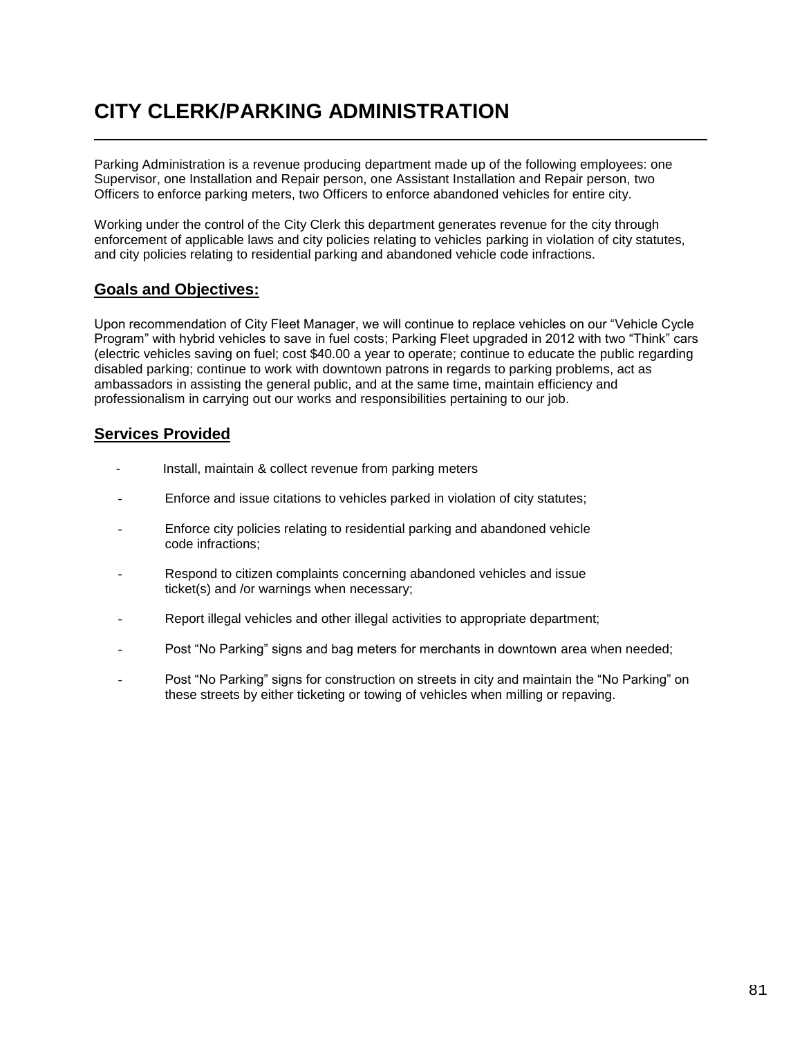## **CITY CLERK/PARKING ADMINISTRATION**

Parking Administration is a revenue producing department made up of the following employees: one Supervisor, one Installation and Repair person, one Assistant Installation and Repair person, two Officers to enforce parking meters, two Officers to enforce abandoned vehicles for entire city.

Working under the control of the City Clerk this department generates revenue for the city through enforcement of applicable laws and city policies relating to vehicles parking in violation of city statutes, and city policies relating to residential parking and abandoned vehicle code infractions.

## **Goals and Objectives:**

Upon recommendation of City Fleet Manager, we will continue to replace vehicles on our "Vehicle Cycle Program" with hybrid vehicles to save in fuel costs; Parking Fleet upgraded in 2012 with two "Think" cars (electric vehicles saving on fuel; cost \$40.00 a year to operate; continue to educate the public regarding disabled parking; continue to work with downtown patrons in regards to parking problems, act as ambassadors in assisting the general public, and at the same time, maintain efficiency and professionalism in carrying out our works and responsibilities pertaining to our job.

## **Services Provided**

- Install, maintain & collect revenue from parking meters
- Enforce and issue citations to vehicles parked in violation of city statutes;
- Enforce city policies relating to residential parking and abandoned vehicle code infractions;
- Respond to citizen complaints concerning abandoned vehicles and issue ticket(s) and /or warnings when necessary;
- Report illegal vehicles and other illegal activities to appropriate department;
- Post "No Parking" signs and bag meters for merchants in downtown area when needed;
- Post "No Parking" signs for construction on streets in city and maintain the "No Parking" on these streets by either ticketing or towing of vehicles when milling or repaving.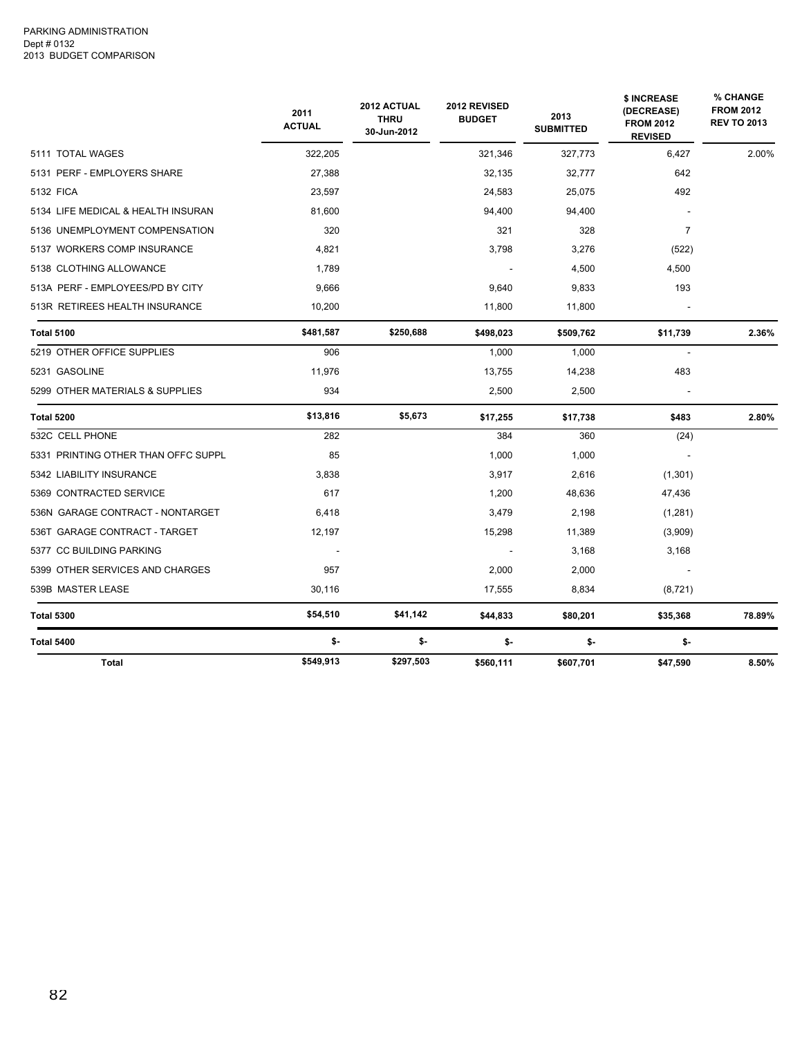|                                     | 2011<br><b>ACTUAL</b> | 2012 ACTUAL<br><b>THRU</b><br>30-Jun-2012 | 2012 REVISED<br><b>BUDGET</b> | 2013<br><b>SUBMITTED</b> | \$ INCREASE<br>(DECREASE)<br><b>FROM 2012</b><br><b>REVISED</b> | % CHANGE<br><b>FROM 2012</b><br><b>REV TO 2013</b> |
|-------------------------------------|-----------------------|-------------------------------------------|-------------------------------|--------------------------|-----------------------------------------------------------------|----------------------------------------------------|
| 5111 TOTAL WAGES                    | 322,205               |                                           | 321,346                       | 327,773                  | 6,427                                                           | 2.00%                                              |
| 5131 PERF - EMPLOYERS SHARE         | 27,388                |                                           | 32,135                        | 32,777                   | 642                                                             |                                                    |
| 5132 FICA                           | 23,597                |                                           | 24,583                        | 25,075                   | 492                                                             |                                                    |
| 5134 LIFE MEDICAL & HEALTH INSURAN  | 81.600                |                                           | 94,400                        | 94,400                   |                                                                 |                                                    |
| 5136 UNEMPLOYMENT COMPENSATION      | 320                   |                                           | 321                           | 328                      | $\overline{7}$                                                  |                                                    |
| 5137 WORKERS COMP INSURANCE         | 4,821                 |                                           | 3,798                         | 3,276                    | (522)                                                           |                                                    |
| 5138 CLOTHING ALLOWANCE             | 1.789                 |                                           |                               | 4,500                    | 4,500                                                           |                                                    |
| 513A PERF - EMPLOYEES/PD BY CITY    | 9,666                 |                                           | 9,640                         | 9,833                    | 193                                                             |                                                    |
| 513R RETIREES HEALTH INSURANCE      | 10,200                |                                           | 11,800                        | 11,800                   |                                                                 |                                                    |
| <b>Total 5100</b>                   | \$481,587             | \$250,688                                 | \$498,023                     | \$509,762                | \$11,739                                                        | 2.36%                                              |
| 5219 OTHER OFFICE SUPPLIES          | 906                   |                                           | 1,000                         | 1,000                    |                                                                 |                                                    |
| 5231 GASOLINE                       | 11,976                |                                           | 13,755                        | 14,238                   | 483                                                             |                                                    |
| 5299 OTHER MATERIALS & SUPPLIES     | 934                   |                                           | 2,500                         | 2,500                    |                                                                 |                                                    |
| <b>Total 5200</b>                   | \$13,816              | \$5,673                                   | \$17,255                      | \$17,738                 | \$483                                                           | 2.80%                                              |
| 532C CELL PHONE                     | 282                   |                                           | 384                           | 360                      | (24)                                                            |                                                    |
| 5331 PRINTING OTHER THAN OFFC SUPPL | 85                    |                                           | 1,000                         | 1,000                    |                                                                 |                                                    |
| 5342 LIABILITY INSURANCE            | 3,838                 |                                           | 3,917                         | 2,616                    | (1,301)                                                         |                                                    |
| 5369 CONTRACTED SERVICE             | 617                   |                                           | 1,200                         | 48,636                   | 47,436                                                          |                                                    |
| 536N GARAGE CONTRACT - NONTARGET    | 6,418                 |                                           | 3,479                         | 2,198                    | (1,281)                                                         |                                                    |
| 536T GARAGE CONTRACT - TARGET       | 12,197                |                                           | 15,298                        | 11,389                   | (3,909)                                                         |                                                    |
| 5377 CC BUILDING PARKING            |                       |                                           |                               | 3,168                    | 3,168                                                           |                                                    |
| 5399 OTHER SERVICES AND CHARGES     | 957                   |                                           | 2,000                         | 2,000                    |                                                                 |                                                    |
| 539B MASTER LEASE                   | 30,116                |                                           | 17,555                        | 8,834                    | (8, 721)                                                        |                                                    |
| <b>Total 5300</b>                   | \$54,510              | \$41,142                                  | \$44,833                      | \$80,201                 | \$35,368                                                        | 78.89%                                             |
| Total 5400                          | \$-                   | \$-                                       | \$-                           | \$-                      | \$-                                                             |                                                    |
| <b>Total</b>                        | \$549,913             | \$297,503                                 | \$560,111                     | \$607,701                | \$47,590                                                        | 8.50%                                              |